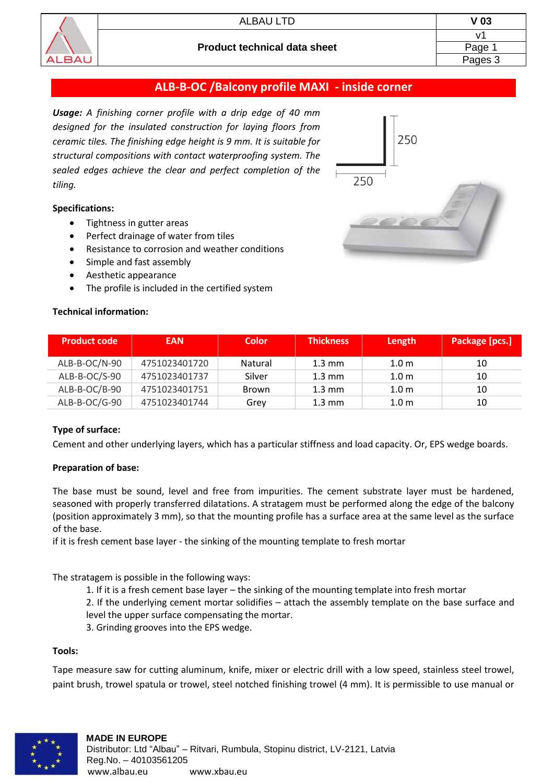

# **ALB-B-OC /Balcony profile MAXI - inside corner**

*Usage: A finishing corner profile with a drip edge of 40 mm designed for the insulated construction for laying floors from ceramic tiles. The finishing edge height is 9 mm. It is suitable for structural compositions with contact waterproofing system. The sealed edges achieve the clear and perfect completion of the tiling.*

### **Specifications:**

- Tightness in gutter areas
- Perfect drainage of water from tiles
- Resistance to corrosion and weather conditions
- Simple and fast assembly
- Aesthetic appearance
- The profile is included in the certified system

### **Technical information:**



| <b>Product code</b> | <b>EAN</b>    | <b>Color</b> | <b>Thickness</b> | Length           | Package [pcs.] |
|---------------------|---------------|--------------|------------------|------------------|----------------|
| ALB-B-OC/N-90       | 4751023401720 | Natural      | $1.3 \text{ mm}$ | 1.0 <sub>m</sub> | 10             |
| $ALB-BC/S-90$       | 4751023401737 | Silver       | $1.3 \text{ mm}$ | 1.0 <sub>m</sub> | 10             |
| ALB-B-OC/B-90       | 4751023401751 | Brown        | $1.3 \text{ mm}$ | 1.0 <sub>m</sub> | 10             |
| ALB-B-OC/G-90       | 4751023401744 | Grev         | $1.3 \text{ mm}$ | 1.0 <sub>m</sub> | 10             |

## **Type of surface:**

Cement and other underlying layers, which has a particular stiffness and load capacity. Or, EPS wedge boards.

#### **Preparation of base:**

The base must be sound, level and free from impurities. The cement substrate layer must be hardened, seasoned with properly transferred dilatations. A stratagem must be performed along the edge of the balcony (position approximately 3 mm), so that the mounting profile has a surface area at the same level as the surface of the base.

if it is fresh cement base layer - the sinking of the mounting template to fresh mortar

The stratagem is possible in the following ways:

1. If it is a fresh cement base layer – the sinking of the mounting template into fresh mortar

2. If the underlying cement mortar solidifies – attach the assembly template on the base surface and level the upper surface compensating the mortar.

3. Grinding grooves into the EPS wedge.

#### **Tools:**

Tape measure saw for cutting aluminum, knife, mixer or electric drill with a low speed, stainless steel trowel, paint brush, trowel spatula or trowel, steel notched finishing trowel (4 mm). It is permissible to use manual or

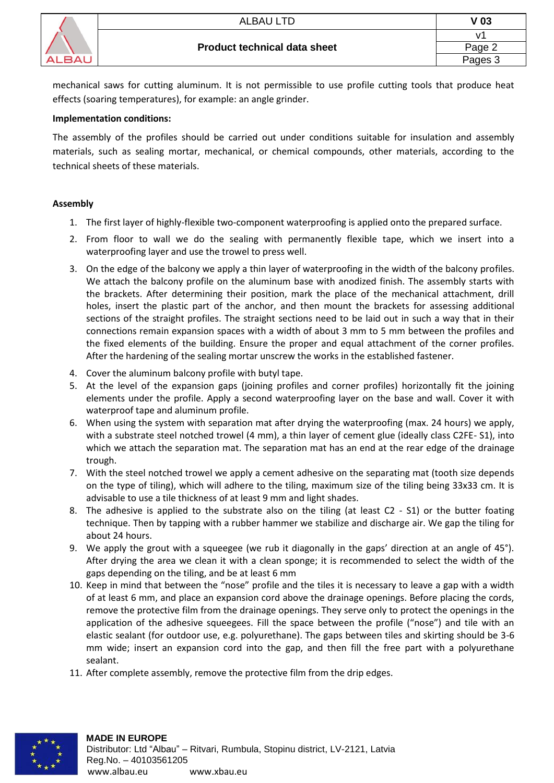

mechanical saws for cutting aluminum. It is not permissible to use profile cutting tools that produce heat effects (soaring temperatures), for example: an angle grinder.

## **Implementation conditions:**

The assembly of the profiles should be carried out under conditions suitable for insulation and assembly materials, such as sealing mortar, mechanical, or chemical compounds, other materials, according to the technical sheets of these materials.

# **Assembly**

- 1. The first layer of highly-flexible two-component waterproofing is applied onto the prepared surface.
- 2. From floor to wall we do the sealing with permanently flexible tape, which we insert into a waterproofing layer and use the trowel to press well.
- 3. On the edge of the balcony we apply a thin layer of waterproofing in the width of the balcony profiles. We attach the balcony profile on the aluminum base with anodized finish. The assembly starts with the brackets. After determining their position, mark the place of the mechanical attachment, drill holes, insert the plastic part of the anchor, and then mount the brackets for assessing additional sections of the straight profiles. The straight sections need to be laid out in such a way that in their connections remain expansion spaces with a width of about 3 mm to 5 mm between the profiles and the fixed elements of the building. Ensure the proper and equal attachment of the corner profiles. After the hardening of the sealing mortar unscrew the works in the established fastener.
- 4. Cover the aluminum balcony profile with butyl tape.
- 5. At the level of the expansion gaps (joining profiles and corner profiles) horizontally fit the joining elements under the profile. Apply a second waterproofing layer on the base and wall. Cover it with waterproof tape and aluminum profile.
- 6. When using the system with separation mat after drying the waterproofing (max. 24 hours) we apply, with a substrate steel notched trowel (4 mm), a thin layer of cement glue (ideally class C2FE- S1), into which we attach the separation mat. The separation mat has an end at the rear edge of the drainage trough.
- 7. With the steel notched trowel we apply a cement adhesive on the separating mat (tooth size depends on the type of tiling), which will adhere to the tiling, maximum size of the tiling being 33x33 cm. It is advisable to use a tile thickness of at least 9 mm and light shades.
- 8. The adhesive is applied to the substrate also on the tiling (at least C2 S1) or the butter foating technique. Then by tapping with a rubber hammer we stabilize and discharge air. We gap the tiling for about 24 hours.
- 9. We apply the grout with a squeegee (we rub it diagonally in the gaps' direction at an angle of 45°). After drying the area we clean it with a clean sponge; it is recommended to select the width of the gaps depending on the tiling, and be at least 6 mm
- 10. Keep in mind that between the "nose" profile and the tiles it is necessary to leave a gap with a width of at least 6 mm, and place an expansion cord above the drainage openings. Before placing the cords, remove the protective film from the drainage openings. They serve only to protect the openings in the application of the adhesive squeegees. Fill the space between the profile ("nose") and tile with an elastic sealant (for outdoor use, e.g. polyurethane). The gaps between tiles and skirting should be 3-6 mm wide; insert an expansion cord into the gap, and then fill the free part with a polyurethane sealant.
- 11. After complete assembly, remove the protective film from the drip edges.